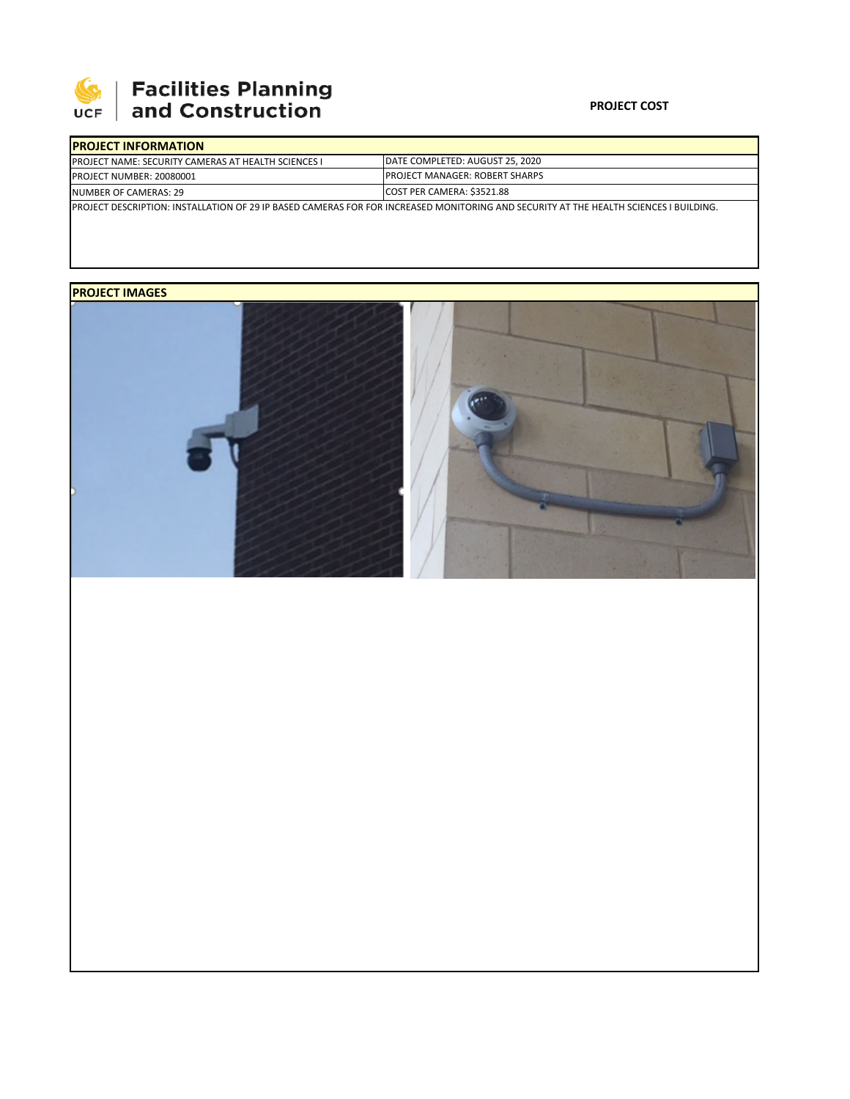

# | Facilities Planning<br>| and Construction

### **PROJECT COST**

| <b>IPROJECT INFORMATION</b>                                                                                                            |                                        |  |  |  |
|----------------------------------------------------------------------------------------------------------------------------------------|----------------------------------------|--|--|--|
| <b>IPROJECT NAME: SECURITY CAMERAS AT HEALTH SCIENCES I</b>                                                                            | DATE COMPLETED: AUGUST 25, 2020        |  |  |  |
| <b>PROJECT NUMBER: 20080001</b>                                                                                                        | <b>IPROJECT MANAGER: ROBERT SHARPS</b> |  |  |  |
| NUMBER OF CAMERAS: 29                                                                                                                  | COST PER CAMERA: \$3521.88             |  |  |  |
| IPROJECT DESCRIPTION: INSTALLATION OF 29 IP BASED CAMERAS FOR FOR INCREASED MONITORING AND SECURITY AT THE HEALTH SCIENCES I BUILDING. |                                        |  |  |  |

## **PROJECT IMAGES**